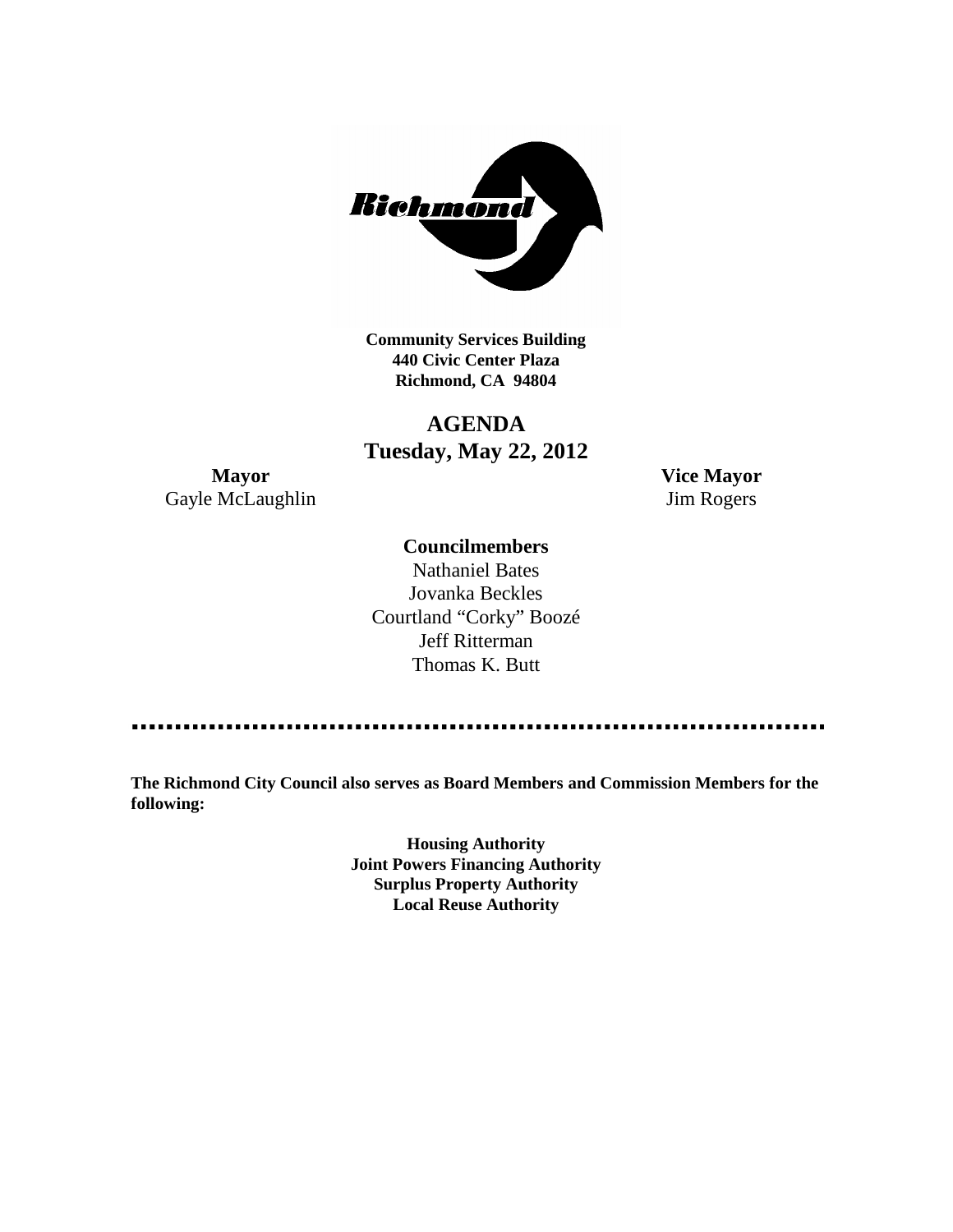

**Community Services Building 440 Civic Center Plaza Richmond, CA 94804**

# **AGENDA Tuesday, May 22, 2012**

**Mayor Vice Mayor** Gayle McLaughlin Jim Rogers

# **Councilmembers**

Nathaniel Bates Jovanka Beckles Courtland "Corky" Boozé Jeff Ritterman Thomas K. Butt

**The Richmond City Council also serves as Board Members and Commission Members for the following:**

> **Housing Authority Joint Powers Financing Authority Surplus Property Authority Local Reuse Authority**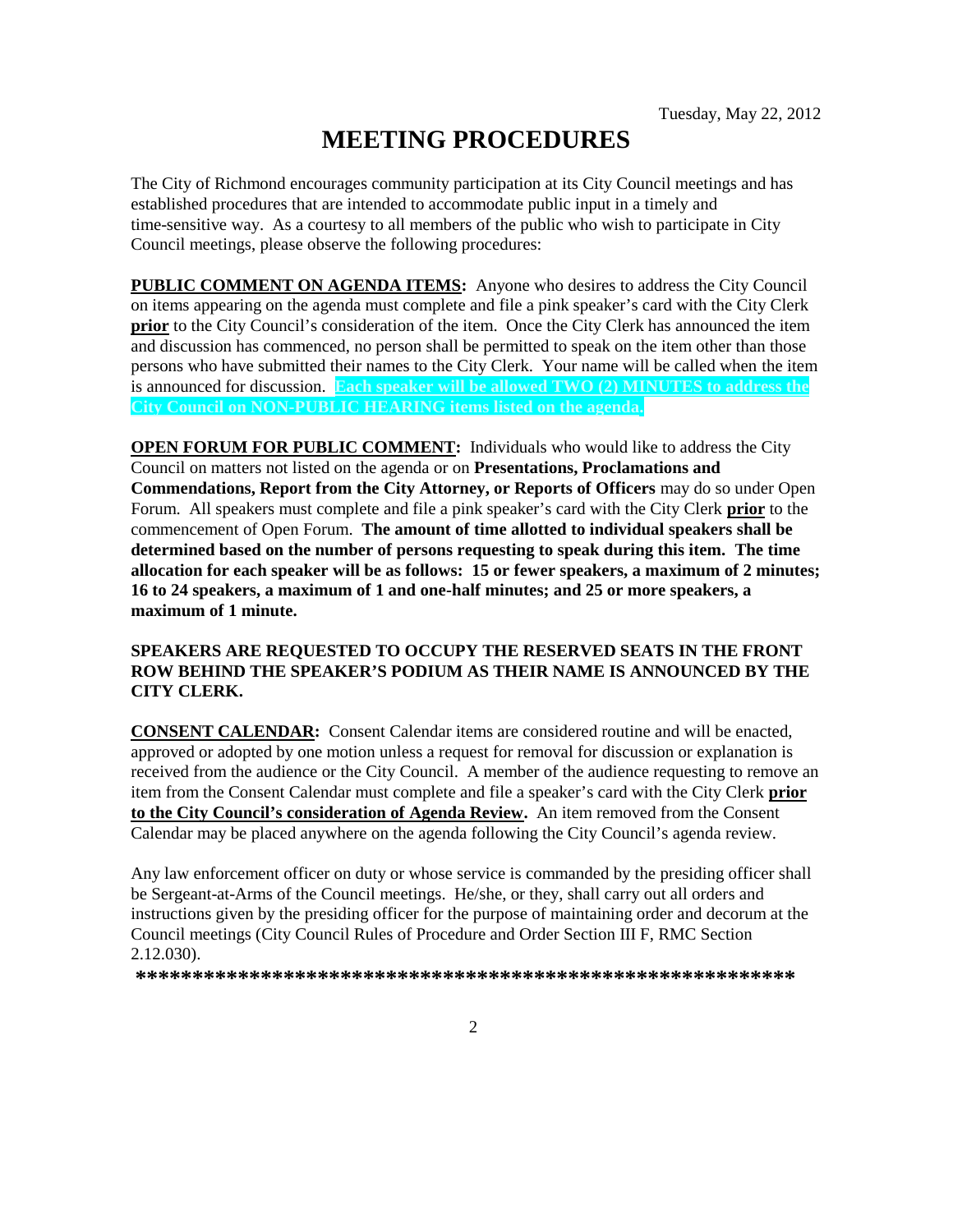# **MEETING PROCEDURES**

The City of Richmond encourages community participation at its City Council meetings and has established procedures that are intended to accommodate public input in a timely and time-sensitive way. As a courtesy to all members of the public who wish to participate in City Council meetings, please observe the following procedures:

**PUBLIC COMMENT ON AGENDA ITEMS:** Anyone who desires to address the City Council on items appearing on the agenda must complete and file a pink speaker's card with the City Clerk **prior** to the City Council's consideration of the item. Once the City Clerk has announced the item and discussion has commenced, no person shall be permitted to speak on the item other than those persons who have submitted their names to the City Clerk. Your name will be called when the item is announced for discussion. **Each speaker will be allowed TWO (2) MINUTES to address the City Council on NON-PUBLIC HEARING items listed on the agenda.**

**OPEN FORUM FOR PUBLIC COMMENT:** Individuals who would like to address the City Council on matters not listed on the agenda or on **Presentations, Proclamations and Commendations, Report from the City Attorney, or Reports of Officers** may do so under Open Forum. All speakers must complete and file a pink speaker's card with the City Clerk **prior** to the commencement of Open Forum. **The amount of time allotted to individual speakers shall be determined based on the number of persons requesting to speak during this item. The time allocation for each speaker will be as follows: 15 or fewer speakers, a maximum of 2 minutes; 16 to 24 speakers, a maximum of 1 and one-half minutes; and 25 or more speakers, a maximum of 1 minute.**

### **SPEAKERS ARE REQUESTED TO OCCUPY THE RESERVED SEATS IN THE FRONT ROW BEHIND THE SPEAKER'S PODIUM AS THEIR NAME IS ANNOUNCED BY THE CITY CLERK.**

**CONSENT CALENDAR:** Consent Calendar items are considered routine and will be enacted, approved or adopted by one motion unless a request for removal for discussion or explanation is received from the audience or the City Council. A member of the audience requesting to remove an item from the Consent Calendar must complete and file a speaker's card with the City Clerk **prior to the City Council's consideration of Agenda Review.** An item removed from the Consent Calendar may be placed anywhere on the agenda following the City Council's agenda review.

Any law enforcement officer on duty or whose service is commanded by the presiding officer shall be Sergeant-at-Arms of the Council meetings. He/she, or they, shall carry out all orders and instructions given by the presiding officer for the purpose of maintaining order and decorum at the Council meetings (City Council Rules of Procedure and Order Section III F, RMC Section 2.12.030).

**\*\*\*\*\*\*\*\*\*\*\*\*\*\*\*\*\*\*\*\*\*\*\*\*\*\*\*\*\*\*\*\*\*\*\*\*\*\*\*\*\*\*\*\*\*\*\*\*\*\*\*\*\*\*\*\*\*\***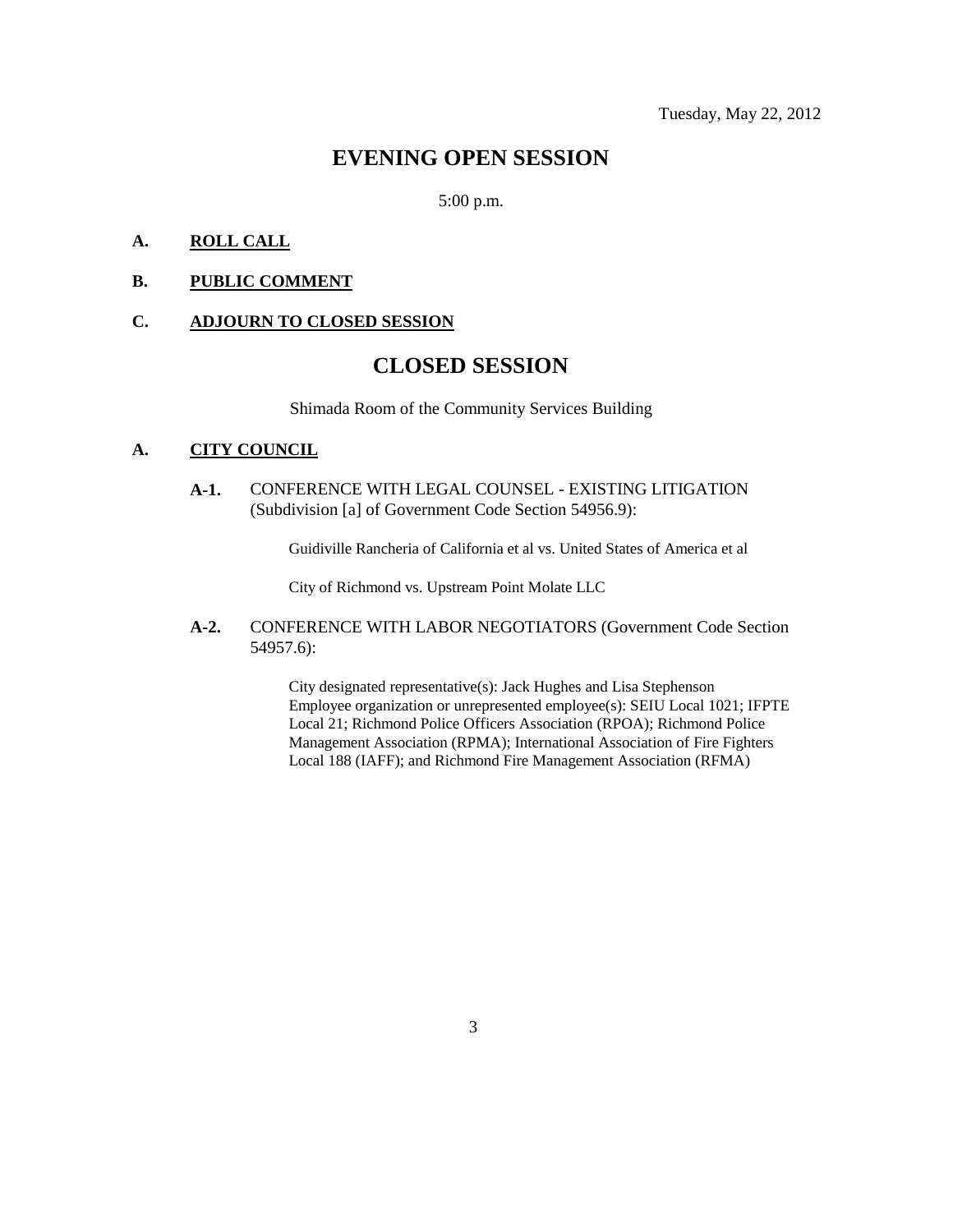# **EVENING OPEN SESSION**

5:00 p.m.

### **A. ROLL CALL**

### **B. PUBLIC COMMENT**

#### **C. ADJOURN TO CLOSED SESSION**

# **CLOSED SESSION**

Shimada Room of the Community Services Building

## **A. CITY COUNCIL**

**A-1.** CONFERENCE WITH LEGAL COUNSEL - EXISTING LITIGATION (Subdivision [a] of Government Code Section 54956.9):

Guidiville Rancheria of California et al vs. United States of America et al

City of Richmond vs. Upstream Point Molate LLC

**A-2.** CONFERENCE WITH LABOR NEGOTIATORS (Government Code Section 54957.6):

> City designated representative(s): Jack Hughes and Lisa Stephenson Employee organization or unrepresented employee(s): SEIU Local 1021; IFPTE Local 21; Richmond Police Officers Association (RPOA); Richmond Police Management Association (RPMA); International Association of Fire Fighters Local 188 (IAFF); and Richmond Fire Management Association (RFMA)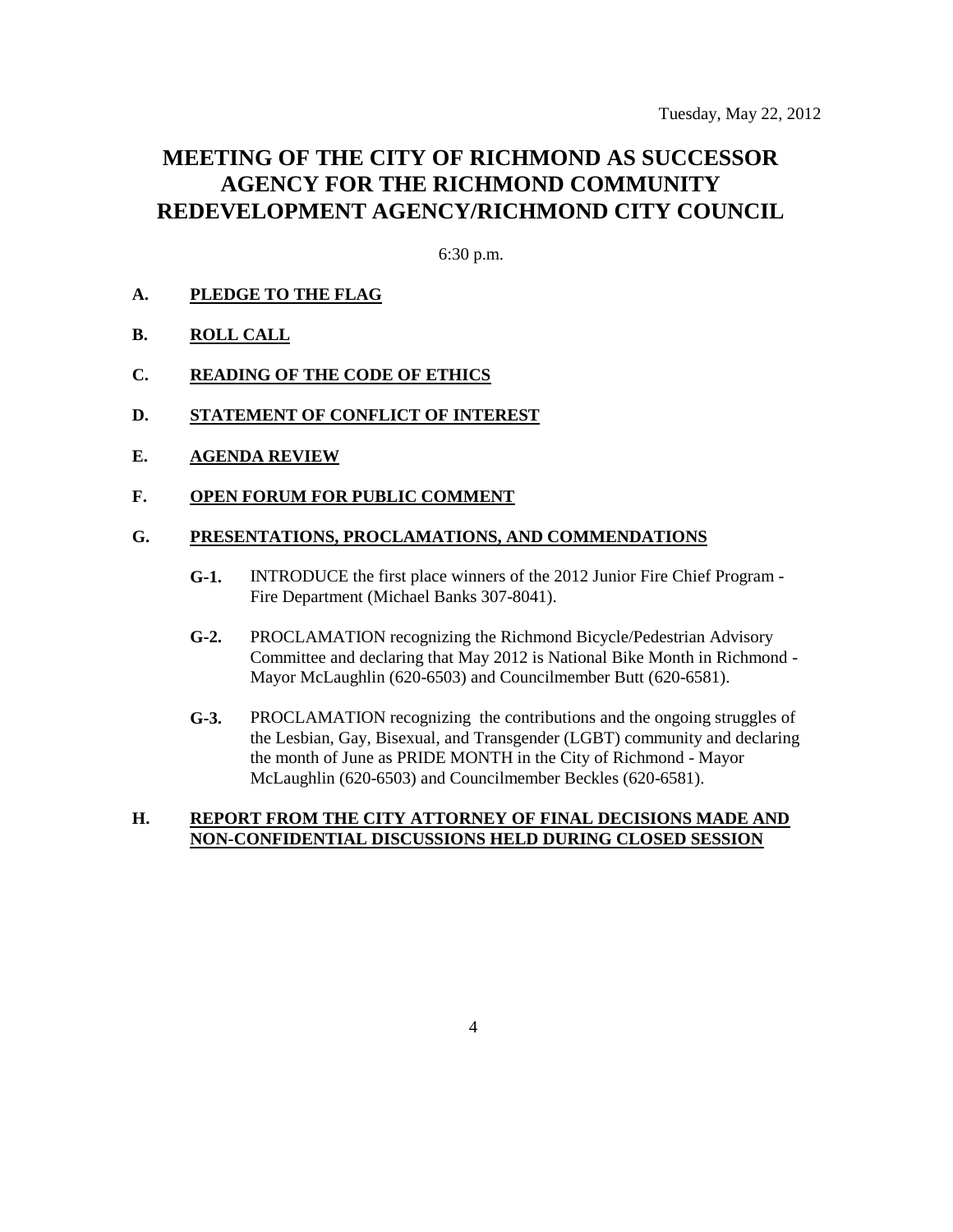# **MEETING OF THE CITY OF RICHMOND AS SUCCESSOR AGENCY FOR THE RICHMOND COMMUNITY REDEVELOPMENT AGENCY/RICHMOND CITY COUNCIL**

6:30 p.m.

### **A. PLEDGE TO THE FLAG**

- **B. ROLL CALL**
- **C. READING OF THE CODE OF ETHICS**
- **D. STATEMENT OF CONFLICT OF INTEREST**
- **E. AGENDA REVIEW**
- **F. OPEN FORUM FOR PUBLIC COMMENT**

### **G. PRESENTATIONS, PROCLAMATIONS, AND COMMENDATIONS**

- **G-1.** INTRODUCE the first place winners of the 2012 Junior Fire Chief Program Fire Department (Michael Banks 307-8041).
- **G-2.** PROCLAMATION recognizing the Richmond Bicycle/Pedestrian Advisory Committee and declaring that May 2012 is National Bike Month in Richmond - Mayor McLaughlin (620-6503) and Councilmember Butt (620-6581).
- **G-3.** PROCLAMATION recognizing the contributions and the ongoing struggles of the Lesbian, Gay, Bisexual, and Transgender (LGBT) community and declaring the month of June as PRIDE MONTH in the City of Richmond - Mayor McLaughlin (620-6503) and Councilmember Beckles (620-6581).

#### **H. REPORT FROM THE CITY ATTORNEY OF FINAL DECISIONS MADE AND NON-CONFIDENTIAL DISCUSSIONS HELD DURING CLOSED SESSION**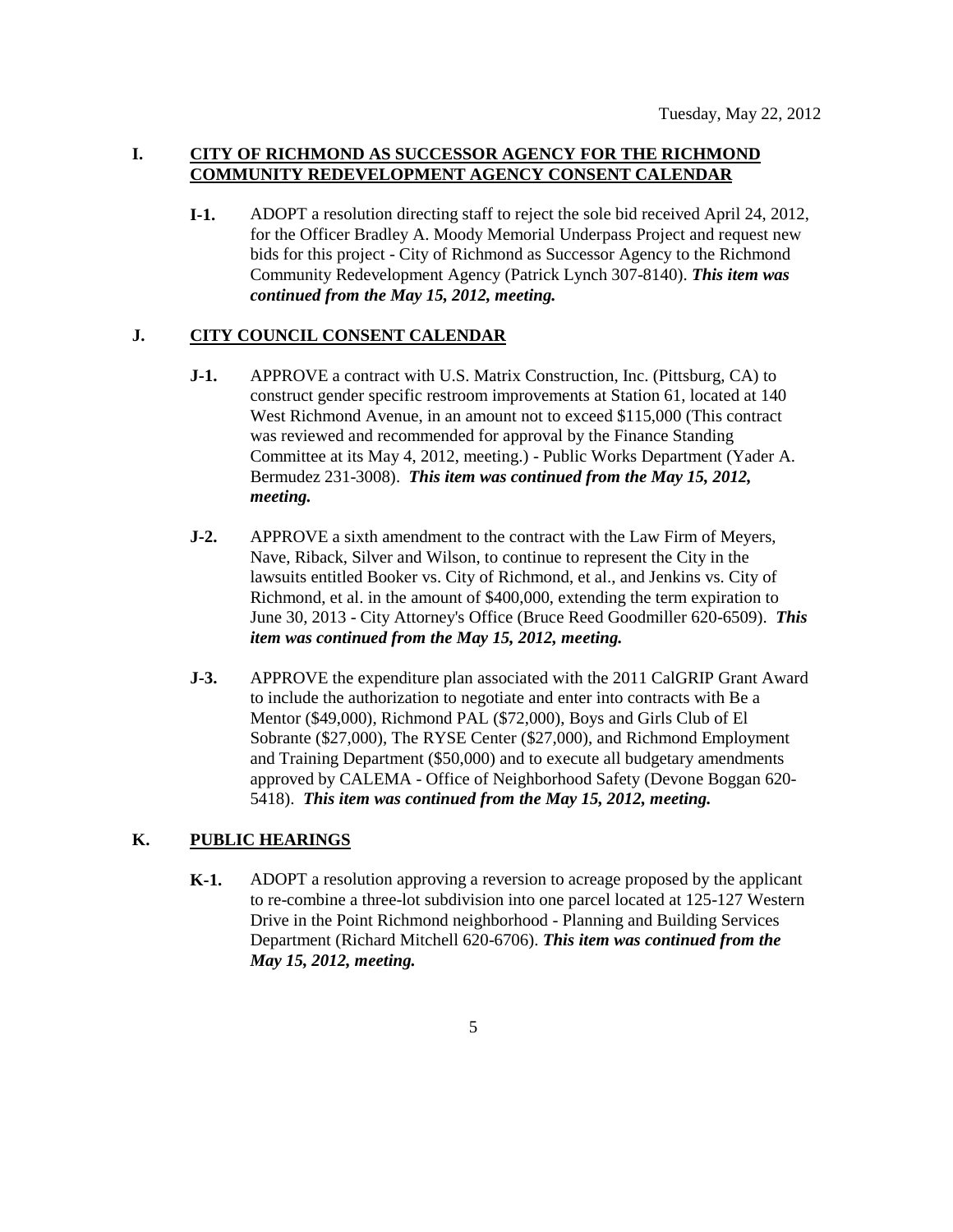# **I. CITY OF RICHMOND AS SUCCESSOR AGENCY FOR THE RICHMOND COMMUNITY REDEVELOPMENT AGENCY CONSENT CALENDAR**

**I-1.** ADOPT a resolution directing staff to reject the sole bid received April 24, 2012, for the Officer Bradley A. Moody Memorial Underpass Project and request new bids for this project - City of Richmond as Successor Agency to the Richmond Community Redevelopment Agency (Patrick Lynch 307-8140). *This item was continued from the May 15, 2012, meeting.*

### **J. CITY COUNCIL CONSENT CALENDAR**

- **J-1.** APPROVE a contract with U.S. Matrix Construction, Inc. (Pittsburg, CA) to construct gender specific restroom improvements at Station 61, located at 140 West Richmond Avenue, in an amount not to exceed \$115,000 (This contract was reviewed and recommended for approval by the Finance Standing Committee at its May 4, 2012, meeting.) - Public Works Department (Yader A. Bermudez 231-3008). *This item was continued from the May 15, 2012, meeting.*
- **J-2.** APPROVE a sixth amendment to the contract with the Law Firm of Meyers, Nave, Riback, Silver and Wilson, to continue to represent the City in the lawsuits entitled Booker vs. City of Richmond, et al., and Jenkins vs. City of Richmond, et al. in the amount of \$400,000, extending the term expiration to June 30, 2013 - City Attorney's Office (Bruce Reed Goodmiller 620-6509). *This item was continued from the May 15, 2012, meeting.*
- **J-3.** APPROVE the expenditure plan associated with the 2011 CalGRIP Grant Award to include the authorization to negotiate and enter into contracts with Be a Mentor (\$49,000), Richmond PAL (\$72,000), Boys and Girls Club of El Sobrante (\$27,000), The RYSE Center (\$27,000), and Richmond Employment and Training Department (\$50,000) and to execute all budgetary amendments approved by CALEMA - Office of Neighborhood Safety (Devone Boggan 620- 5418). *This item was continued from the May 15, 2012, meeting.*

# **K. PUBLIC HEARINGS**

**K-1.** ADOPT a resolution approving a reversion to acreage proposed by the applicant to re-combine a three-lot subdivision into one parcel located at 125-127 Western Drive in the Point Richmond neighborhood - Planning and Building Services Department (Richard Mitchell 620-6706). *This item was continued from the May 15, 2012, meeting.*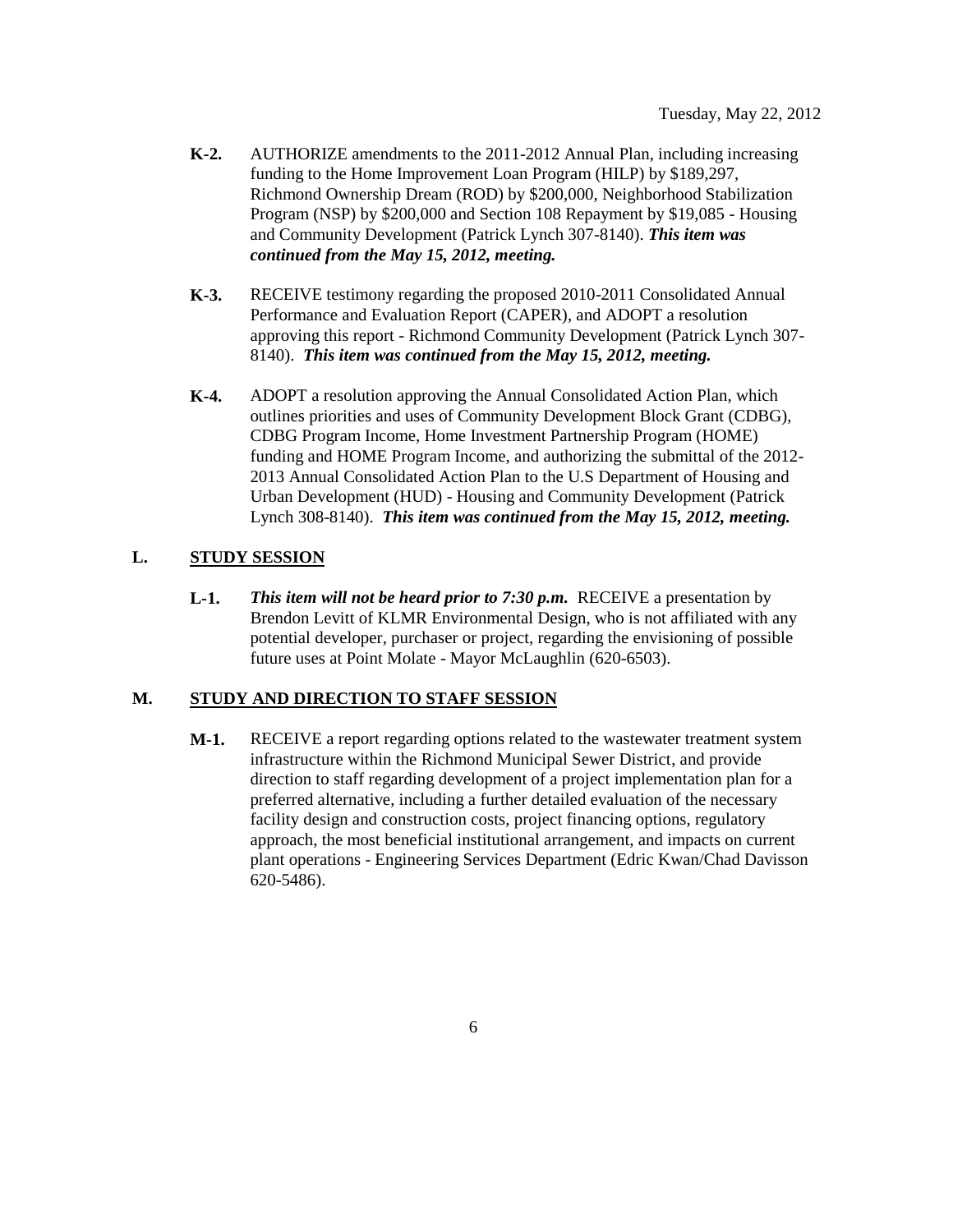- **K-2.** AUTHORIZE amendments to the 2011-2012 Annual Plan, including increasing funding to the Home Improvement Loan Program (HILP) by \$189,297, Richmond Ownership Dream (ROD) by \$200,000, Neighborhood Stabilization Program (NSP) by \$200,000 and Section 108 Repayment by \$19,085 - Housing and Community Development (Patrick Lynch 307-8140). *This item was continued from the May 15, 2012, meeting.*
- **K-3.** RECEIVE testimony regarding the proposed 2010-2011 Consolidated Annual Performance and Evaluation Report (CAPER), and ADOPT a resolution approving this report - Richmond Community Development (Patrick Lynch 307- 8140). *This item was continued from the May 15, 2012, meeting.*
- **K-4.** ADOPT a resolution approving the Annual Consolidated Action Plan, which outlines priorities and uses of Community Development Block Grant (CDBG), CDBG Program Income, Home Investment Partnership Program (HOME) funding and HOME Program Income, and authorizing the submittal of the 2012- 2013 Annual Consolidated Action Plan to the U.S Department of Housing and Urban Development (HUD) - Housing and Community Development (Patrick Lynch 308-8140). *This item was continued from the May 15, 2012, meeting.*

# **L. STUDY SESSION**

**L-1.** *This item will not be heard prior to 7:30 p.m.* RECEIVE a presentation by Brendon Levitt of KLMR Environmental Design, who is not affiliated with any potential developer, purchaser or project, regarding the envisioning of possible future uses at Point Molate - Mayor McLaughlin (620-6503).

# **M. STUDY AND DIRECTION TO STAFF SESSION**

**M-1.** RECEIVE a report regarding options related to the wastewater treatment system infrastructure within the Richmond Municipal Sewer District, and provide direction to staff regarding development of a project implementation plan for a preferred alternative, including a further detailed evaluation of the necessary facility design and construction costs, project financing options, regulatory approach, the most beneficial institutional arrangement, and impacts on current plant operations - Engineering Services Department (Edric Kwan/Chad Davisson 620-5486).